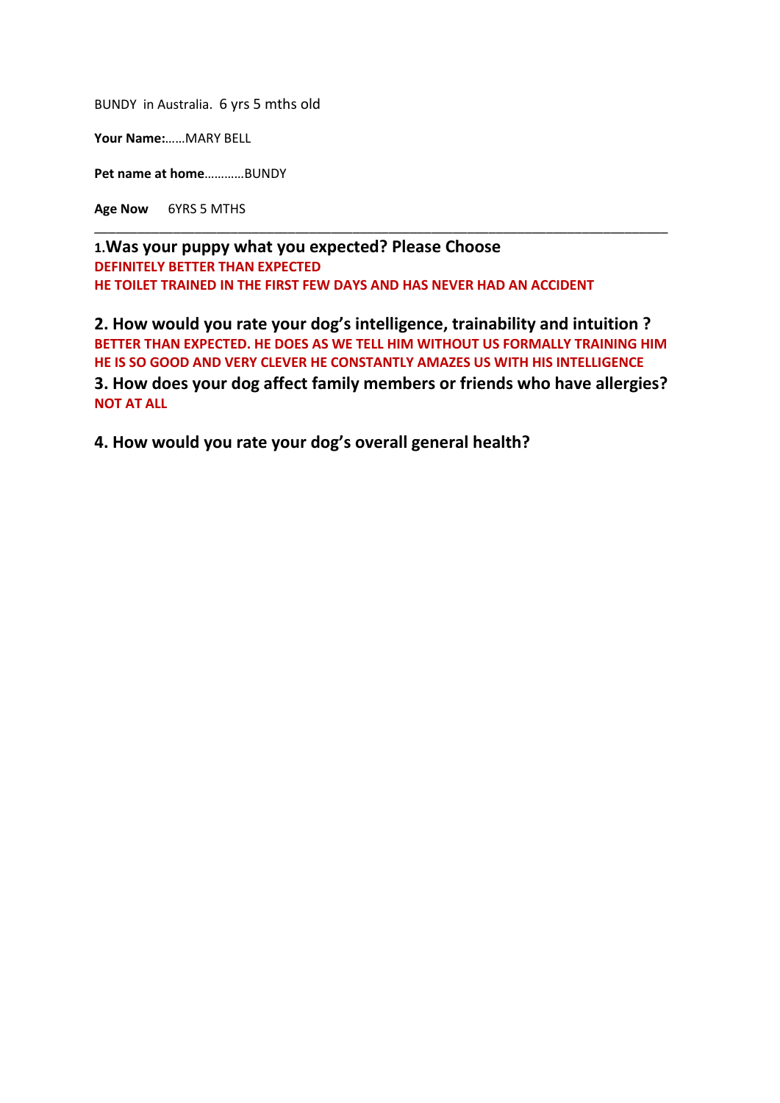BUNDY in Australia. 6 yrs 5 mths old

**Your Name:**……MARY BELL

**Pet name at home**…………BUNDY

**Age Now** 6YRS 5 MTHS

**1.Was your puppy what you expected? Please Choose DEFINITELY BETTER THAN EXPECTED HE TOILET TRAINED IN THE FIRST FEW DAYS AND HAS NEVER HAD AN ACCIDENT** 

**2. How would you rate your dog's intelligence, trainability and intuition ? BETTER THAN EXPECTED. HE DOES AS WE TELL HIM WITHOUT US FORMALLY TRAINING HIM HE IS SO GOOD AND VERY CLEVER HE CONSTANTLY AMAZES US WITH HIS INTELLIGENCE 3. How does your dog affect family members or friends who have allergies? NOT AT ALL** 

\_\_\_\_\_\_\_\_\_\_\_\_\_\_\_\_\_\_\_\_\_\_\_\_\_\_\_\_\_\_\_\_\_\_\_\_\_\_\_\_\_\_\_\_\_\_\_\_\_\_\_\_\_\_\_\_\_\_\_\_\_\_\_\_\_\_\_\_\_\_\_\_\_\_\_\_\_\_\_\_

**4. How would you rate your dog's overall general health?**